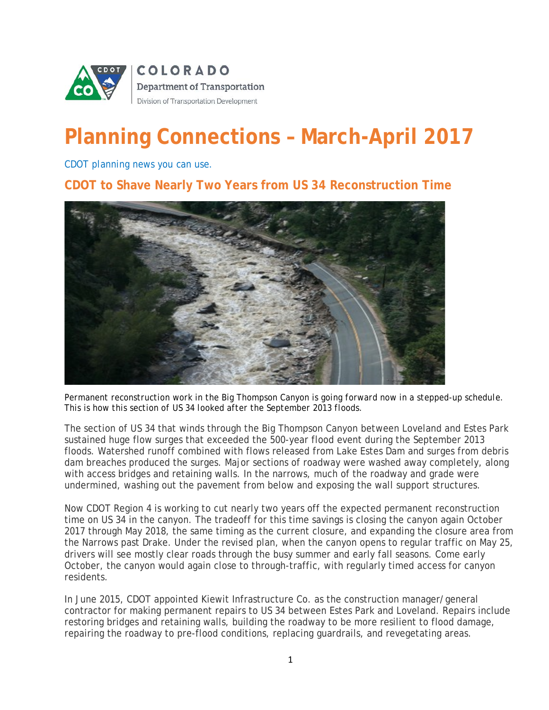

## **Planning Connections – March-April 2017**

*CDOT planning news you can use.*

**CDOT to Shave Nearly Two Years from US 34 Reconstruction Time**



*Permanent reconstruction work in the Big Thompson Canyon is going forward now in a stepped-up schedule. This is how this section of US 34 looked after the September 2013 floods.*

The section of US 34 that winds through the Big Thompson Canyon between Loveland and Estes Park sustained huge flow surges that exceeded the 500-year flood event during the September 2013 floods. Watershed runoff combined with flows released from Lake Estes Dam and surges from debris dam breaches produced the surges. Major sections of roadway were washed away completely, along with access bridges and retaining walls. In the narrows, much of the roadway and grade were undermined, washing out the pavement from below and exposing the wall support structures.

Now CDOT Region 4 is working to cut nearly two years off the expected permanent reconstruction time on US 34 in the canyon. The tradeoff for this time savings is closing the canyon again October 2017 through May 2018, the same timing as the current closure, and expanding the closure area from the Narrows past Drake. Under the revised plan, when the canyon opens to regular traffic on May 25, drivers will see mostly clear roads through the busy summer and early fall seasons. Come early October, the canyon would again close to through-traffic, with regularly timed access for canyon residents.

In June 2015, CDOT appointed Kiewit Infrastructure Co. as the construction manager/general contractor for making permanent repairs to US 34 between Estes Park and Loveland. Repairs include restoring bridges and retaining walls, building the roadway to be more resilient to flood damage, repairing the roadway to pre-flood conditions, replacing guardrails, and revegetating areas.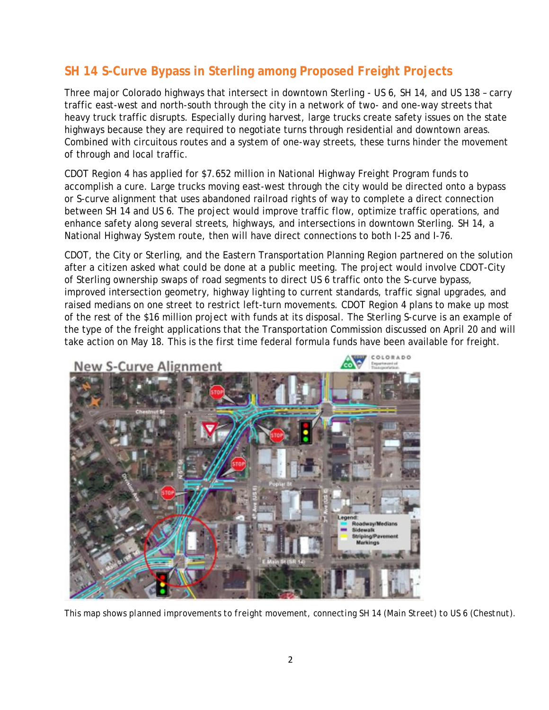## **SH 14 S-Curve Bypass in Sterling among Proposed Freight Projects**

Three major Colorado highways that intersect in downtown Sterling - US 6, SH 14, and US 138 – carry traffic east-west and north-south through the city in a network of two- and one-way streets that heavy truck traffic disrupts. Especially during harvest, large trucks create safety issues on the state highways because they are required to negotiate turns through residential and downtown areas. Combined with circuitous routes and a system of one-way streets, these turns hinder the movement of through and local traffic.

CDOT Region 4 has applied for \$7.652 million in National Highway Freight Program funds to accomplish a cure. Large trucks moving east-west through the city would be directed onto a bypass or S-curve alignment that uses abandoned railroad rights of way to complete a direct connection between SH 14 and US 6. The project would improve traffic flow, optimize traffic operations, and enhance safety along several streets, highways, and intersections in downtown Sterling. SH 14, a National Highway System route, then will have direct connections to both I-25 and I-76.

CDOT, the City or Sterling, and the Eastern Transportation Planning Region partnered on the solution after a citizen asked what could be done at a public meeting. The project would involve CDOT-City of Sterling ownership swaps of road segments to direct US 6 traffic onto the S-curve bypass, improved intersection geometry, highway lighting to current standards, traffic signal upgrades, and raised medians on one street to restrict left-turn movements. CDOT Region 4 plans to make up most of the rest of the \$16 million project with funds at its disposal. The Sterling S-curve is an example of the type of the freight applications that the Transportation Commission discussed on April 20 and will take action on May 18. This is the first time federal formula funds have been available for freight.



*This map shows planned improvements to freight movement, connecting SH 14 (Main Street) to US 6 (Chestnut).*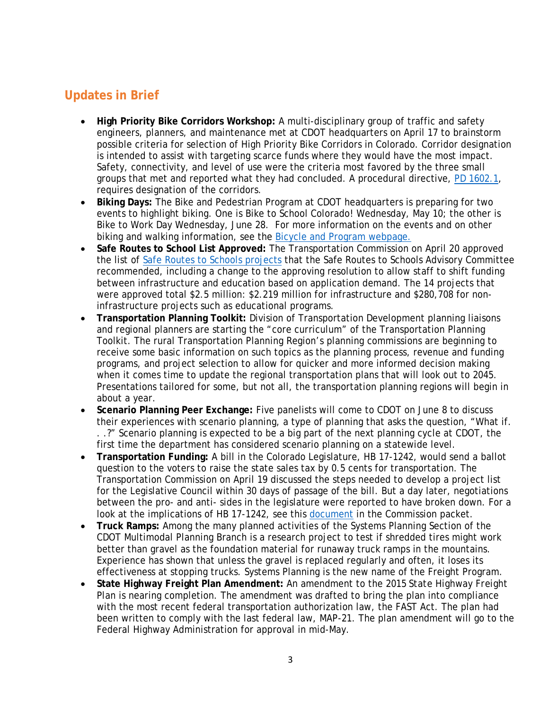## **Updates in Brief**

- **High Priority Bike Corridors Workshop:** A multi-disciplinary group of traffic and safety engineers, planners, and maintenance met at CDOT headquarters on April 17 to brainstorm possible criteria for selection of High Priority Bike Corridors in Colorado. Corridor designation is intended to assist with targeting scarce funds where they would have the most impact. Safety, connectivity, and level of use were the criteria most favored by the three small groups that met and reported what they had concluded. A procedural directive, [PD 1602.1,](http://intranet.dot.state.co.us/resources/policy-procedure/documents/1602.1) requires designation of the corridors.
- **Biking Days:** The Bike and Pedestrian Program at CDOT headquarters is preparing for two events to highlight biking. One is Bike to School Colorado! Wednesday, May 10; the other is Bike to Work Day Wednesday, June 28. For more information on the events and on other biking and walking information, see the [Bicycle and Program webpage.](https://www.codot.gov/programs/bikeped)
- **Safe Routes to School List Approved:** The Transportation Commission on April 20 approved the list of [Safe Routes to Schools projects](https://www.codot.gov/about/transportation-commission/current-agenda-and-supporting-documents/10b-srts.pdf/) that the Safe Routes to Schools Advisory Committee recommended, including a change to the approving resolution to allow staff to shift funding between infrastructure and education based on application demand. The 14 projects that were approved total \$2.5 million: \$2.219 million for infrastructure and \$280,708 for noninfrastructure projects such as educational programs.
- **Transportation Planning Toolkit:** Division of Transportation Development planning liaisons and regional planners are starting the "core curriculum" of the Transportation Planning Toolkit. The rural Transportation Planning Region's planning commissions are beginning to receive some basic information on such topics as the planning process, revenue and funding programs, and project selection to allow for quicker and more informed decision making when it comes time to update the regional transportation plans that will look out to 2045. Presentations tailored for some, but not all, the transportation planning regions will begin in about a year.
- **Scenario Planning Peer Exchange:** Five panelists will come to CDOT on June 8 to discuss their experiences with scenario planning, a type of planning that asks the question, "What if. . .?" Scenario planning is expected to be a big part of the next planning cycle at CDOT, the first time the department has considered scenario planning on a statewide level.
- **Transportation Funding:** A bill in the Colorado Legislature, HB 17-1242, would send a ballot question to the voters to raise the state sales tax by 0.5 cents for transportation. The Transportation Commission on April 19 discussed the steps needed to develop a project list for the Legislative Council within 30 days of passage of the bill. But a day later, negotiations between the pro- and anti- sides in the legislature were reported to have broken down. For a look at the implications of HB 17-1242, see this [document](https://www.codot.gov/about/transportation-commission/current-agenda-and-supporting-documents/5-ballot-measure-and-developmet-plan.pdf/) in the Commission packet.
- **Truck Ramps:** Among the many planned activities of the Systems Planning Section of the CDOT Multimodal Planning Branch is a research project to test if shredded tires might work better than gravel as the foundation material for runaway truck ramps in the mountains. Experience has shown that unless the gravel is replaced regularly and often, it loses its effectiveness at stopping trucks. Systems Planning is the new name of the Freight Program.
- **State Highway Freight Plan Amendment:** An amendment to the 2015 *State Highway Freight Plan* is nearing completion. The amendment was drafted to bring the plan into compliance with the most recent federal transportation authorization law, the FAST Act. The plan had been written to comply with the last federal law, MAP-21. The plan amendment will go to the Federal Highway Administration for approval in mid-May.